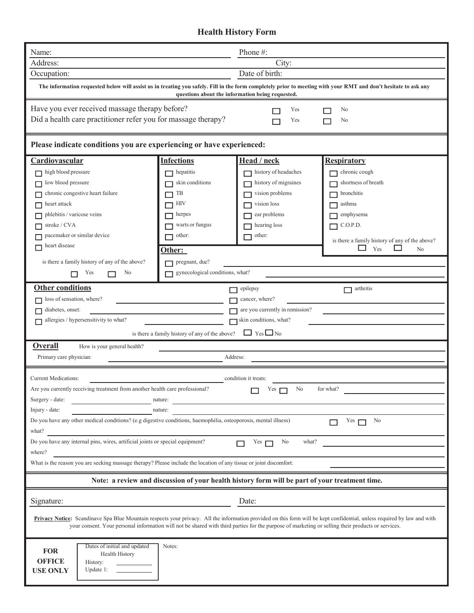## **Health History Form**

| Name:                                                                                                                                                                                                                                                                                                                                                                                        |                                                | Phone $#$ :                                                                                    |                                                                                                                                                                                                                                                                                                                               |
|----------------------------------------------------------------------------------------------------------------------------------------------------------------------------------------------------------------------------------------------------------------------------------------------------------------------------------------------------------------------------------------------|------------------------------------------------|------------------------------------------------------------------------------------------------|-------------------------------------------------------------------------------------------------------------------------------------------------------------------------------------------------------------------------------------------------------------------------------------------------------------------------------|
| Address:                                                                                                                                                                                                                                                                                                                                                                                     |                                                | City:                                                                                          |                                                                                                                                                                                                                                                                                                                               |
| Occupation:                                                                                                                                                                                                                                                                                                                                                                                  |                                                | Date of birth:                                                                                 |                                                                                                                                                                                                                                                                                                                               |
|                                                                                                                                                                                                                                                                                                                                                                                              |                                                | questions about the information being requested.                                               | The information requested below will assist us in treating you safely. Fill in the form completely prior to meeting with your RMT and don't hesitate to ask any                                                                                                                                                               |
| Have you ever received massage therapy before?                                                                                                                                                                                                                                                                                                                                               |                                                | Yes                                                                                            | No                                                                                                                                                                                                                                                                                                                            |
| Did a health care practitioner refer you for massage therapy?                                                                                                                                                                                                                                                                                                                                |                                                | Yes                                                                                            | No                                                                                                                                                                                                                                                                                                                            |
| Please indicate conditions you are experiencing or have experienced:                                                                                                                                                                                                                                                                                                                         |                                                |                                                                                                |                                                                                                                                                                                                                                                                                                                               |
| Cardiovascular                                                                                                                                                                                                                                                                                                                                                                               | <b>Infections</b>                              | Head / neck                                                                                    | <u>Respiratory</u>                                                                                                                                                                                                                                                                                                            |
| high blood pressure                                                                                                                                                                                                                                                                                                                                                                          | hepatitis                                      | history of headaches                                                                           | chronic cough                                                                                                                                                                                                                                                                                                                 |
| low blood pressure                                                                                                                                                                                                                                                                                                                                                                           | skin conditions                                | history of migraines                                                                           | shortness of breath                                                                                                                                                                                                                                                                                                           |
| chronic congestive heart failure                                                                                                                                                                                                                                                                                                                                                             | TB                                             | vision problems                                                                                | bronchitis                                                                                                                                                                                                                                                                                                                    |
| heart attack                                                                                                                                                                                                                                                                                                                                                                                 | HIV                                            | vision loss                                                                                    | asthma                                                                                                                                                                                                                                                                                                                        |
| phlebitis / varicose veins                                                                                                                                                                                                                                                                                                                                                                   | herpes                                         | ear problems                                                                                   | emphysema                                                                                                                                                                                                                                                                                                                     |
| stroke / CVA                                                                                                                                                                                                                                                                                                                                                                                 | warts or fungus                                | hearing loss                                                                                   | C.O.P.D.                                                                                                                                                                                                                                                                                                                      |
| pacemaker or similar device                                                                                                                                                                                                                                                                                                                                                                  | other:                                         | other:                                                                                         |                                                                                                                                                                                                                                                                                                                               |
| heart disease                                                                                                                                                                                                                                                                                                                                                                                | Other:                                         |                                                                                                | is there a family history of any of the above?<br>Yes<br>No                                                                                                                                                                                                                                                                   |
| is there a family history of any of the above?                                                                                                                                                                                                                                                                                                                                               | pregnant, due?                                 |                                                                                                |                                                                                                                                                                                                                                                                                                                               |
| No<br>Yes                                                                                                                                                                                                                                                                                                                                                                                    | gynecological conditions, what?                |                                                                                                |                                                                                                                                                                                                                                                                                                                               |
|                                                                                                                                                                                                                                                                                                                                                                                              |                                                |                                                                                                |                                                                                                                                                                                                                                                                                                                               |
| <b>Other conditions</b>                                                                                                                                                                                                                                                                                                                                                                      |                                                | epilepsy                                                                                       | arthritis                                                                                                                                                                                                                                                                                                                     |
| loss of sensation, where?                                                                                                                                                                                                                                                                                                                                                                    |                                                | cancer, where?                                                                                 |                                                                                                                                                                                                                                                                                                                               |
| diabetes, onset:                                                                                                                                                                                                                                                                                                                                                                             |                                                | are you currently in remission?                                                                |                                                                                                                                                                                                                                                                                                                               |
| allergies / hypersensitivity to what?                                                                                                                                                                                                                                                                                                                                                        |                                                | skin conditions, what?                                                                         |                                                                                                                                                                                                                                                                                                                               |
|                                                                                                                                                                                                                                                                                                                                                                                              | is there a family history of any of the above? | $\Box$ Yes $\Box$ No                                                                           |                                                                                                                                                                                                                                                                                                                               |
| Overall<br>How is your general health?                                                                                                                                                                                                                                                                                                                                                       |                                                |                                                                                                |                                                                                                                                                                                                                                                                                                                               |
| Primary care physician:                                                                                                                                                                                                                                                                                                                                                                      |                                                | Address:                                                                                       |                                                                                                                                                                                                                                                                                                                               |
|                                                                                                                                                                                                                                                                                                                                                                                              |                                                |                                                                                                |                                                                                                                                                                                                                                                                                                                               |
| <b>Current Medications:</b>                                                                                                                                                                                                                                                                                                                                                                  |                                                | condition it treats:                                                                           |                                                                                                                                                                                                                                                                                                                               |
| Are you currently receiving treatment from another health care professional?                                                                                                                                                                                                                                                                                                                 |                                                | No<br>Yes $\Box$                                                                               | for what?                                                                                                                                                                                                                                                                                                                     |
|                                                                                                                                                                                                                                                                                                                                                                                              |                                                |                                                                                                |                                                                                                                                                                                                                                                                                                                               |
|                                                                                                                                                                                                                                                                                                                                                                                              | nature:                                        |                                                                                                |                                                                                                                                                                                                                                                                                                                               |
|                                                                                                                                                                                                                                                                                                                                                                                              | nature:                                        |                                                                                                |                                                                                                                                                                                                                                                                                                                               |
|                                                                                                                                                                                                                                                                                                                                                                                              |                                                |                                                                                                | Yes<br>No                                                                                                                                                                                                                                                                                                                     |
|                                                                                                                                                                                                                                                                                                                                                                                              |                                                | No<br>what?<br>Yes $\Box$                                                                      |                                                                                                                                                                                                                                                                                                                               |
|                                                                                                                                                                                                                                                                                                                                                                                              |                                                |                                                                                                |                                                                                                                                                                                                                                                                                                                               |
|                                                                                                                                                                                                                                                                                                                                                                                              |                                                |                                                                                                |                                                                                                                                                                                                                                                                                                                               |
|                                                                                                                                                                                                                                                                                                                                                                                              |                                                | Note: a review and discussion of your health history form will be part of your treatment time. |                                                                                                                                                                                                                                                                                                                               |
|                                                                                                                                                                                                                                                                                                                                                                                              |                                                | Date:                                                                                          |                                                                                                                                                                                                                                                                                                                               |
| Surgery - date:<br>Injury - date:<br>Do you have any other medical conditions? (e.g digestive conditions, haemophilia, osteoporosis, mental illness)<br>what?<br>Do you have any internal pins, wires, artificial joints or special equipment?<br>where?<br>What is the reason you are seeking massage therapy? Please include the location of any tissue or joint discomfort:<br>Signature: |                                                |                                                                                                | Privacy Notice: Scandinave Spa Blue Mountain respects your privacy. All the information provided on this form will be kept confidential, unless required by law and with<br>your consent. Your personal information will not be shared with third parties for the purpose of marketing or selling their products or services. |
| Dates of initial and updated                                                                                                                                                                                                                                                                                                                                                                 | Notes:                                         |                                                                                                |                                                                                                                                                                                                                                                                                                                               |
| <b>FOR</b><br>Health History                                                                                                                                                                                                                                                                                                                                                                 |                                                |                                                                                                |                                                                                                                                                                                                                                                                                                                               |
| <b>OFFICE</b><br>History:<br>Update 1:<br><b>USE ONLY</b>                                                                                                                                                                                                                                                                                                                                    |                                                |                                                                                                |                                                                                                                                                                                                                                                                                                                               |